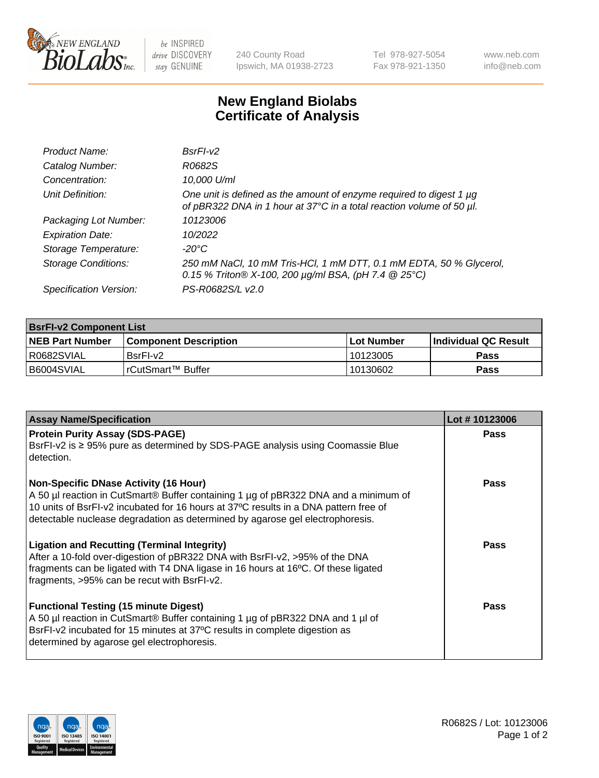

 $be$  INSPIRED drive DISCOVERY stay GENUINE

240 County Road Ipswich, MA 01938-2723 Tel 978-927-5054 Fax 978-921-1350 www.neb.com info@neb.com

## **New England Biolabs Certificate of Analysis**

| Product Name:              | $BsrFI-V2$                                                                                                                                  |
|----------------------------|---------------------------------------------------------------------------------------------------------------------------------------------|
| Catalog Number:            | R0682S                                                                                                                                      |
| Concentration:             | 10,000 U/ml                                                                                                                                 |
| Unit Definition:           | One unit is defined as the amount of enzyme required to digest 1 µg<br>of pBR322 DNA in 1 hour at 37°C in a total reaction volume of 50 µl. |
| Packaging Lot Number:      | 10123006                                                                                                                                    |
| <b>Expiration Date:</b>    | 10/2022                                                                                                                                     |
| Storage Temperature:       | $-20^{\circ}$ C                                                                                                                             |
| <b>Storage Conditions:</b> | 250 mM NaCl, 10 mM Tris-HCl, 1 mM DTT, 0.1 mM EDTA, 50 % Glycerol,<br>0.15 % Triton® X-100, 200 µg/ml BSA, (pH 7.4 @ 25°C)                  |
| Specification Version:     | PS-R0682S/L v2.0                                                                                                                            |

| <b>BsrFI-v2 Component List</b> |                         |              |                       |  |  |
|--------------------------------|-------------------------|--------------|-----------------------|--|--|
| <b>NEB Part Number</b>         | l Component Description | l Lot Number | ∣Individual QC Result |  |  |
| R0682SVIAL                     | BsrFI-v2                | 10123005     | Pass                  |  |  |
| B6004SVIAL                     | l rCutSmart™ Buffer     | 10130602     | Pass                  |  |  |

| <b>Assay Name/Specification</b>                                                                                                                                                                                                                                                                              | Lot #10123006 |
|--------------------------------------------------------------------------------------------------------------------------------------------------------------------------------------------------------------------------------------------------------------------------------------------------------------|---------------|
| <b>Protein Purity Assay (SDS-PAGE)</b><br>BsrFI-v2 is ≥ 95% pure as determined by SDS-PAGE analysis using Coomassie Blue<br>detection.                                                                                                                                                                       | Pass          |
| <b>Non-Specific DNase Activity (16 Hour)</b><br>A 50 µl reaction in CutSmart® Buffer containing 1 µg of pBR322 DNA and a minimum of<br>10 units of BsrFI-v2 incubated for 16 hours at 37°C results in a DNA pattern free of<br>detectable nuclease degradation as determined by agarose gel electrophoresis. | Pass          |
| <b>Ligation and Recutting (Terminal Integrity)</b><br>After a 10-fold over-digestion of pBR322 DNA with BsrFI-v2, >95% of the DNA<br>fragments can be ligated with T4 DNA ligase in 16 hours at 16°C. Of these ligated<br>fragments, >95% can be recut with BsrFI-v2.                                        | <b>Pass</b>   |
| <b>Functional Testing (15 minute Digest)</b><br>A 50 µl reaction in CutSmart® Buffer containing 1 µg of pBR322 DNA and 1 µl of<br>BsrFI-v2 incubated for 15 minutes at 37°C results in complete digestion as<br>determined by agarose gel electrophoresis.                                                   | Pass          |